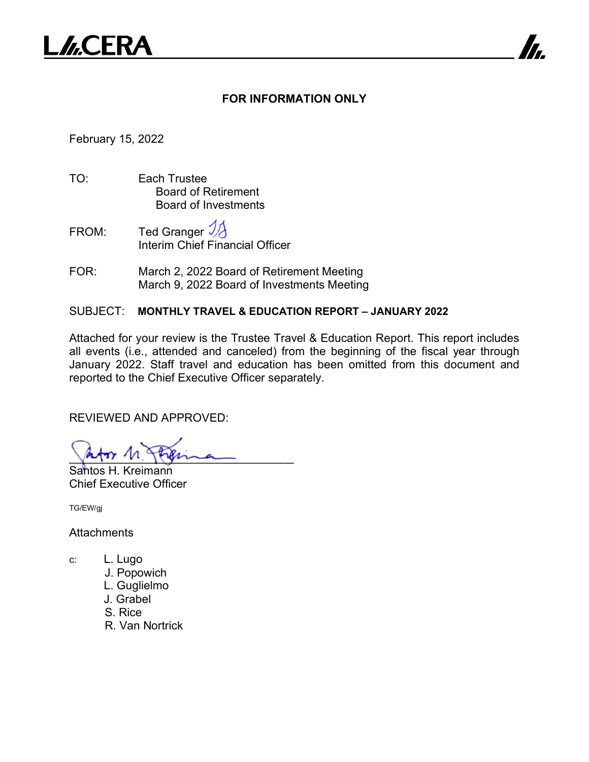

#### **FOR INFORMATION ONLY**

7

February 15, 2022

- TO: Each Trustee Board of Retirement Board of Investments
- FROM: Ted Granger Interim Chief Financial Officer
- FOR: March 2, 2022 Board of Retirement Meeting March 9, 2022 Board of Investments Meeting

#### SUBJECT: **MONTHLY TRAVEL & EDUCATION REPORT – JANUARY 2022**

Attached for your review is the Trustee Travel & Education Report. This report includes all events (i.e., attended and canceled) from the beginning of the fiscal year through January 2022. Staff travel and education has been omitted from this document and reported to the Chief Executive Officer separately.

REVIEWED AND APPROVED:

approx n. Japana

Santos H. Kreimann Chief Executive Officer

TG/EW/gj

**Attachments** 

- c: L. Lugo
	- J. Popowich
	- L. Guglielmo
	- J. Grabel
	- S. Rice
	- R. Van Nortrick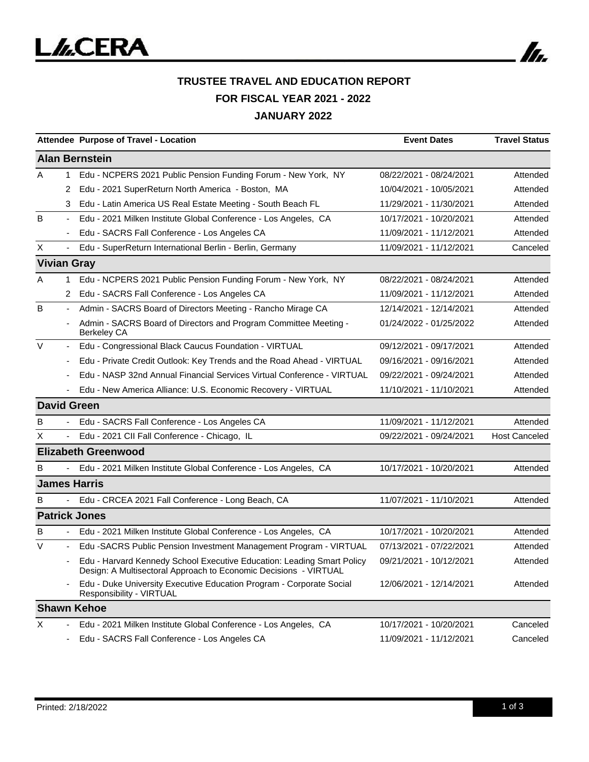

# **TRUSTEE TRAVEL AND EDUCATION REPORT FOR FISCAL YEAR 2021 - 2022 JANUARY 2022**

|                    |                          | Attendee Purpose of Travel - Location                                                                                                      | <b>Event Dates</b>      | <b>Travel Status</b> |
|--------------------|--------------------------|--------------------------------------------------------------------------------------------------------------------------------------------|-------------------------|----------------------|
|                    |                          | <b>Alan Bernstein</b>                                                                                                                      |                         |                      |
| A                  | $\mathbf{1}$             | Edu - NCPERS 2021 Public Pension Funding Forum - New York, NY                                                                              | 08/22/2021 - 08/24/2021 | Attended             |
|                    | 2                        | Edu - 2021 SuperReturn North America - Boston, MA                                                                                          | 10/04/2021 - 10/05/2021 | Attended             |
|                    | 3                        | Edu - Latin America US Real Estate Meeting - South Beach FL                                                                                | 11/29/2021 - 11/30/2021 | Attended             |
| B                  |                          | Edu - 2021 Milken Institute Global Conference - Los Angeles, CA                                                                            | 10/17/2021 - 10/20/2021 | Attended             |
|                    |                          | Edu - SACRS Fall Conference - Los Angeles CA                                                                                               | 11/09/2021 - 11/12/2021 | Attended             |
| X                  | $\overline{\phantom{a}}$ | Edu - SuperReturn International Berlin - Berlin, Germany                                                                                   | 11/09/2021 - 11/12/2021 | Canceled             |
| <b>Vivian Gray</b> |                          |                                                                                                                                            |                         |                      |
| A                  | 1                        | Edu - NCPERS 2021 Public Pension Funding Forum - New York, NY                                                                              | 08/22/2021 - 08/24/2021 | Attended             |
|                    | 2                        | Edu - SACRS Fall Conference - Los Angeles CA                                                                                               | 11/09/2021 - 11/12/2021 | Attended             |
| B                  | $\overline{\phantom{a}}$ | Admin - SACRS Board of Directors Meeting - Rancho Mirage CA                                                                                | 12/14/2021 - 12/14/2021 | Attended             |
|                    |                          | Admin - SACRS Board of Directors and Program Committee Meeting -<br><b>Berkeley CA</b>                                                     | 01/24/2022 - 01/25/2022 | Attended             |
| $\vee$             | $\overline{\phantom{a}}$ | Edu - Congressional Black Caucus Foundation - VIRTUAL                                                                                      | 09/12/2021 - 09/17/2021 | Attended             |
|                    |                          | Edu - Private Credit Outlook: Key Trends and the Road Ahead - VIRTUAL                                                                      | 09/16/2021 - 09/16/2021 | Attended             |
|                    |                          | Edu - NASP 32nd Annual Financial Services Virtual Conference - VIRTUAL                                                                     | 09/22/2021 - 09/24/2021 | Attended             |
|                    |                          | Edu - New America Alliance: U.S. Economic Recovery - VIRTUAL                                                                               | 11/10/2021 - 11/10/2021 | Attended             |
| <b>David Green</b> |                          |                                                                                                                                            |                         |                      |
| B                  |                          | Edu - SACRS Fall Conference - Los Angeles CA                                                                                               | 11/09/2021 - 11/12/2021 | Attended             |
| Χ                  |                          | Edu - 2021 CII Fall Conference - Chicago, IL                                                                                               | 09/22/2021 - 09/24/2021 | <b>Host Canceled</b> |
|                    |                          | <b>Elizabeth Greenwood</b>                                                                                                                 |                         |                      |
| B                  | $\sim$                   | Edu - 2021 Milken Institute Global Conference - Los Angeles, CA                                                                            | 10/17/2021 - 10/20/2021 | Attended             |
|                    |                          | <b>James Harris</b>                                                                                                                        |                         |                      |
| B                  |                          | Edu - CRCEA 2021 Fall Conference - Long Beach, CA                                                                                          | 11/07/2021 - 11/10/2021 | Attended             |
|                    |                          | <b>Patrick Jones</b>                                                                                                                       |                         |                      |
| в                  | $\sim$                   | Edu - 2021 Milken Institute Global Conference - Los Angeles, CA                                                                            | 10/17/2021 - 10/20/2021 | Attended             |
| V                  |                          | Edu -SACRS Public Pension Investment Management Program - VIRTUAL                                                                          | 07/13/2021 - 07/22/2021 | Attended             |
|                    |                          | Edu - Harvard Kennedy School Executive Education: Leading Smart Policy<br>Design: A Multisectoral Approach to Economic Decisions - VIRTUAL | 09/21/2021 - 10/12/2021 | Attended             |
|                    |                          | Edu - Duke University Executive Education Program - Corporate Social<br>Responsibility - VIRTUAL                                           | 12/06/2021 - 12/14/2021 | Attended             |
|                    |                          | <b>Shawn Kehoe</b>                                                                                                                         |                         |                      |
| X                  |                          | Edu - 2021 Milken Institute Global Conference - Los Angeles, CA                                                                            | 10/17/2021 - 10/20/2021 | Canceled             |
|                    |                          | Edu - SACRS Fall Conference - Los Angeles CA                                                                                               | 11/09/2021 - 11/12/2021 | Canceled             |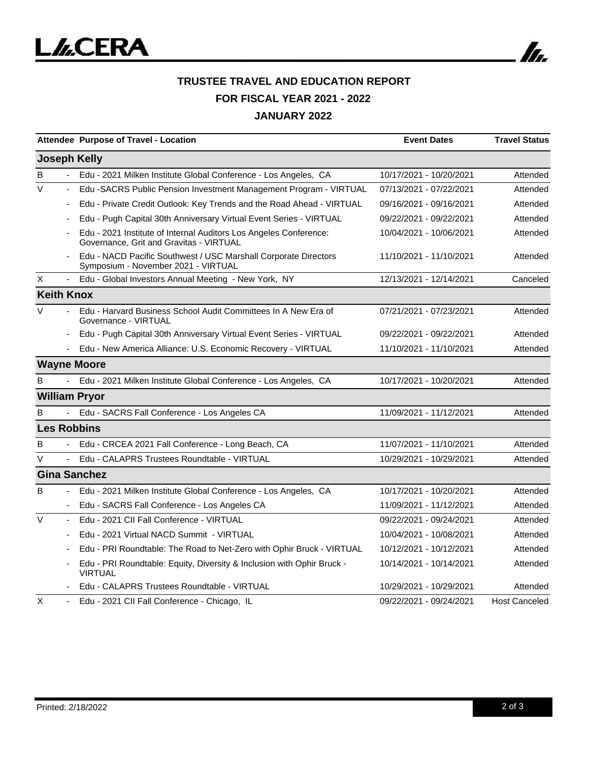

# **TRUSTEE TRAVEL AND EDUCATION REPORT FOR FISCAL YEAR 2021 - 2022 JANUARY 2022**

|                                    | Attendee Purpose of Travel - Location                                                                        | <b>Event Dates</b>      | <b>Travel Status</b> |
|------------------------------------|--------------------------------------------------------------------------------------------------------------|-------------------------|----------------------|
| <b>Joseph Kelly</b>                |                                                                                                              |                         |                      |
| B                                  | Edu - 2021 Milken Institute Global Conference - Los Angeles, CA                                              | 10/17/2021 - 10/20/2021 | Attended             |
| $\vee$<br>÷                        | Edu -SACRS Public Pension Investment Management Program - VIRTUAL                                            | 07/13/2021 - 07/22/2021 | Attended             |
| ÷                                  | Edu - Private Credit Outlook: Key Trends and the Road Ahead - VIRTUAL                                        | 09/16/2021 - 09/16/2021 | Attended             |
|                                    | Edu - Pugh Capital 30th Anniversary Virtual Event Series - VIRTUAL                                           | 09/22/2021 - 09/22/2021 | Attended             |
|                                    | Edu - 2021 Institute of Internal Auditors Los Angeles Conference:<br>Governance, Grit and Gravitas - VIRTUAL | 10/04/2021 - 10/06/2021 | Attended             |
|                                    | Edu - NACD Pacific Southwest / USC Marshall Corporate Directors<br>Symposium - November 2021 - VIRTUAL       | 11/10/2021 - 11/10/2021 | Attended             |
| X<br>$\blacksquare$                | Edu - Global Investors Annual Meeting - New York, NY                                                         | 12/13/2021 - 12/14/2021 | Canceled             |
| <b>Keith Knox</b>                  |                                                                                                              |                         |                      |
| $\vee$                             | Edu - Harvard Business School Audit Committees In A New Era of<br>Governance - VIRTUAL                       | 07/21/2021 - 07/23/2021 | Attended             |
|                                    | Edu - Pugh Capital 30th Anniversary Virtual Event Series - VIRTUAL                                           | 09/22/2021 - 09/22/2021 | Attended             |
|                                    | Edu - New America Alliance: U.S. Economic Recovery - VIRTUAL                                                 | 11/10/2021 - 11/10/2021 | Attended             |
| <b>Wayne Moore</b>                 |                                                                                                              |                         |                      |
| B                                  | Edu - 2021 Milken Institute Global Conference - Los Angeles, CA                                              | 10/17/2021 - 10/20/2021 | Attended             |
| <b>William Pryor</b>               |                                                                                                              |                         |                      |
| B                                  | Edu - SACRS Fall Conference - Los Angeles CA                                                                 | 11/09/2021 - 11/12/2021 | Attended             |
| <b>Les Robbins</b>                 |                                                                                                              |                         |                      |
| В                                  | Edu - CRCEA 2021 Fall Conference - Long Beach, CA                                                            | 11/07/2021 - 11/10/2021 | Attended             |
| V                                  | Edu - CALAPRS Trustees Roundtable - VIRTUAL                                                                  | 10/29/2021 - 10/29/2021 | Attended             |
|                                    | <b>Gina Sanchez</b>                                                                                          |                         |                      |
| B<br>$\blacksquare$                | Edu - 2021 Milken Institute Global Conference - Los Angeles, CA                                              | 10/17/2021 - 10/20/2021 | Attended             |
|                                    | Edu - SACRS Fall Conference - Los Angeles CA                                                                 | 11/09/2021 - 11/12/2021 | Attended             |
| $\vee$<br>$\overline{\phantom{a}}$ | Edu - 2021 CII Fall Conference - VIRTUAL                                                                     | 09/22/2021 - 09/24/2021 | Attended             |
|                                    | Edu - 2021 Virtual NACD Summit - VIRTUAL                                                                     | 10/04/2021 - 10/08/2021 | Attended             |
|                                    | Edu - PRI Roundtable: The Road to Net-Zero with Ophir Bruck - VIRTUAL                                        | 10/12/2021 - 10/12/2021 | Attended             |
|                                    | Edu - PRI Roundtable: Equity, Diversity & Inclusion with Ophir Bruck -<br><b>VIRTUAL</b>                     | 10/14/2021 - 10/14/2021 | Attended             |
|                                    | Edu - CALAPRS Trustees Roundtable - VIRTUAL                                                                  | 10/29/2021 - 10/29/2021 | Attended             |
| X                                  | Edu - 2021 CII Fall Conference - Chicago, IL                                                                 | 09/22/2021 - 09/24/2021 | <b>Host Canceled</b> |